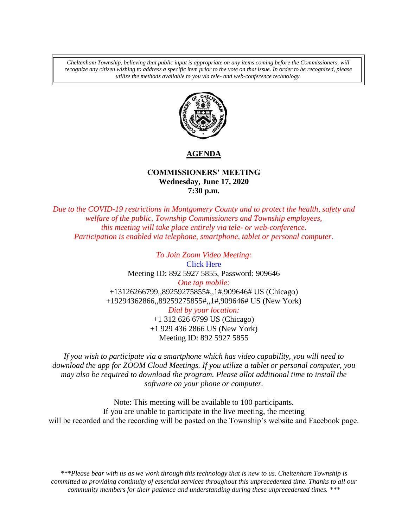*Cheltenham Township, believing that public input is appropriate on any items coming before the Commissioners, will recognize any citizen wishing to address a specific item prior to the vote on that issue. In order to be recognized, please utilize the methods available to you via tele- and web-conference technology.*



## **AGENDA**

## **COMMISSIONERS' MEETING Wednesday, June 17, 2020 7:30 p.m.**

*Due to the COVID-19 restrictions in Montgomery County and to protect the health, safety and welfare of the public, Township Commissioners and Township employees, this meeting will take place entirely via tele- or web-conference. Participation is enabled via telephone, smartphone, tablet or personal computer.*

> *To Join Zoom Video Meeting:* [Click Here](https://us02web.zoom.us/j/89259275855?pwd=UzVsNEtZUTZVK2tpbHRqUUVKajg2QT09) Meeting ID: 892 5927 5855, Password: 909646 *One tap mobile:* +13126266799,,89259275855#,,1#,909646# US (Chicago) +19294362866,,89259275855#,,1#,909646# US (New York) *Dial by your location:* +1 312 626 6799 US (Chicago) +1 929 436 2866 US (New York) Meeting ID: 892 5927 5855

*If you wish to participate via a smartphone which has video capability, you will need to download the app for ZOOM Cloud Meetings. If you utilize a tablet or personal computer, you may also be required to download the program. Please allot additional time to install the software on your phone or computer.* 

Note: This meeting will be available to 100 participants. If you are unable to participate in the live meeting, the meeting will be recorded and the recording will be posted on the Township's website and Facebook page.

*\*\*\*Please bear with us as we work through this technology that is new to us. Cheltenham Township is committed to providing continuity of essential services throughout this unprecedented time. Thanks to all our community members for their patience and understanding during these unprecedented times. \*\*\**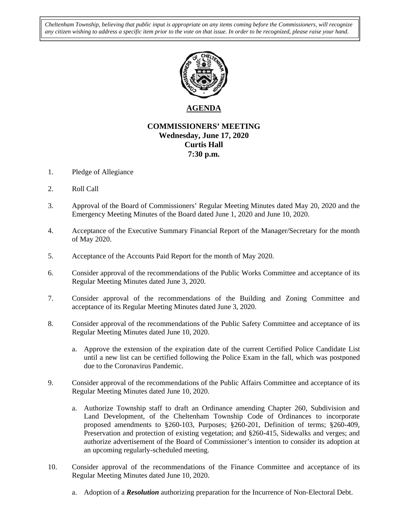*Cheltenham Township, believing that public input is appropriate on any items coming before the Commissioners, will recognize any citizen wishing to address a specific item prior to the vote on that issue. In order to be recognized, please raise your hand.* 



## **AGENDA**

## **COMMISSIONERS' MEETING Wednesday, June 17, 2020 Curtis Hall 7:30 p.m.**

- 1. Pledge of Allegiance
- 2. Roll Call
- 3. Approval of the Board of Commissioners' Regular Meeting Minutes dated May 20, 2020 and the Emergency Meeting Minutes of the Board dated June 1, 2020 and June 10, 2020.
- 4. Acceptance of the Executive Summary Financial Report of the Manager/Secretary for the month of May 2020.
- 5. Acceptance of the Accounts Paid Report for the month of May 2020.
- 6. Consider approval of the recommendations of the Public Works Committee and acceptance of its Regular Meeting Minutes dated June 3, 2020.
- 7. Consider approval of the recommendations of the Building and Zoning Committee and acceptance of its Regular Meeting Minutes dated June 3, 2020.
- 8. Consider approval of the recommendations of the Public Safety Committee and acceptance of its Regular Meeting Minutes dated June 10, 2020.
	- a. Approve the extension of the expiration date of the current Certified Police Candidate List until a new list can be certified following the Police Exam in the fall, which was postponed due to the Coronavirus Pandemic.
- 9. Consider approval of the recommendations of the Public Affairs Committee and acceptance of its Regular Meeting Minutes dated June 10, 2020.
	- a. Authorize Township staff to draft an Ordinance amending Chapter 260, Subdivision and Land Development, of the Cheltenham Township Code of Ordinances to incorporate proposed amendments to §260-103, Purposes; §260-201, Definition of terms; §260-409, Preservation and protection of existing vegetation; and §260-415, Sidewalks and verges; and authorize advertisement of the Board of Commissioner's intention to consider its adoption at an upcoming regularly-scheduled meeting.
- 10. Consider approval of the recommendations of the Finance Committee and acceptance of its Regular Meeting Minutes dated June 10, 2020.
	- a. Adoption of a *Resolution* authorizing preparation for the Incurrence of Non-Electoral Debt.